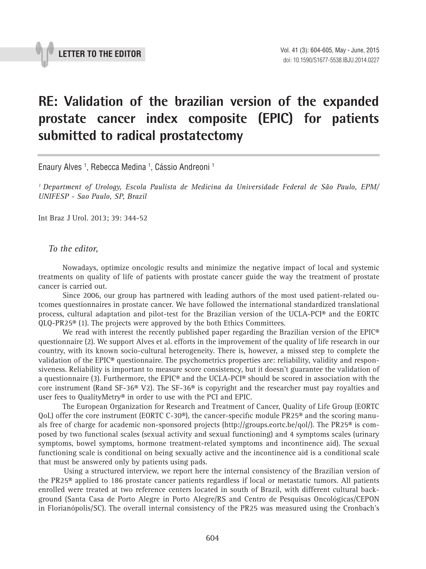

## **RE: Validation of the brazilian version of the expanded prostate cancer index composite (EPIC) for patients submitted to radical prostatectomy \_\_\_\_\_\_\_\_\_\_\_\_\_\_\_\_\_\_\_\_\_\_\_\_\_\_\_\_\_\_\_\_\_\_\_\_\_\_\_\_\_\_\_\_\_\_\_**

Enaury Alves 1 , Rebecca Medina 1 , Cássio Andreoni 1

*1 Department of Urology, Escola Paulista de Medicina da Universidade Federal de São Paulo, EPM/ UNIFESP - Sao Paulo, SP, Brazil*

Int Braz J Urol. 2013; 39: 344-52

## *To the editor,*

Nowadays, optimize oncologic results and minimize the negative impact of local and systemic treatments on quality of life of patients with prostate cancer guide the way the treatment of prostate cancer is carried out.

Since 2006, our group has partnered with leading authors of the most used patient-related outcomes questionnaires in prostate cancer. We have followed the international standardized translational process, cultural adaptation and pilot-test for the Brazilian version of the UCLA-PCI® and the EORTC QLQ-PR25® (1). The projects were approved by the both Ethics Committees.

We read with interest the recently published paper regarding the Brazilian version of the  $E\text{PIC}^{\circledast}$ questionnaire (2). We support Alves et al. efforts in the improvement of the quality of life research in our country, with its known socio-cultural heterogeneity. There is, however, a missed step to complete the validation of the EPIC® questionnaire. The psychometrics properties are: reliability, validity and responsiveness. Reliability is important to measure score consistency, but it doesn't guarantee the validation of a questionnaire (3). Furthermore, the EPIC® and the UCLA-PCI® should be scored in association with the core instrument (Rand SF-36<sup>®</sup> V2). The SF-36<sup>®</sup> is copyright and the researcher must pay royalties and user fees to QualityMetry® in order to use with the PCI and EPIC.

The European Organization for Research and Treatment of Cancer, Quality of Life Group (EORTC QoL) offer the core instrument (EORTC C-30®), the cancer-specific module PR25® and the scoring manuals free of charge for academic non-sponsored projects (http://groups.eortc.be/qol/). The PR25® is composed by two functional scales (sexual activity and sexual functioning) and 4 symptoms scales (urinary symptoms, bowel symptoms, hormone treatment-related symptoms and incontinence aid). The sexual functioning scale is conditional on being sexually active and the incontinence aid is a conditional scale that must be answered only by patients using pads.

Using a structured interview, we report here the internal consistency of the Brazilian version of the PR25® applied to 186 prostate cancer patients regardless if local or metastatic tumors. All patients enrolled were treated at two reference centers located in south of Brazil, with different cultural background (Santa Casa de Porto Alegre in Porto Alegre/RS and Centro de Pesquisas Oncológicas/CEPON in Florianópolis/SC). The overall internal consistency of the PR25 was measured using the Cronbach's